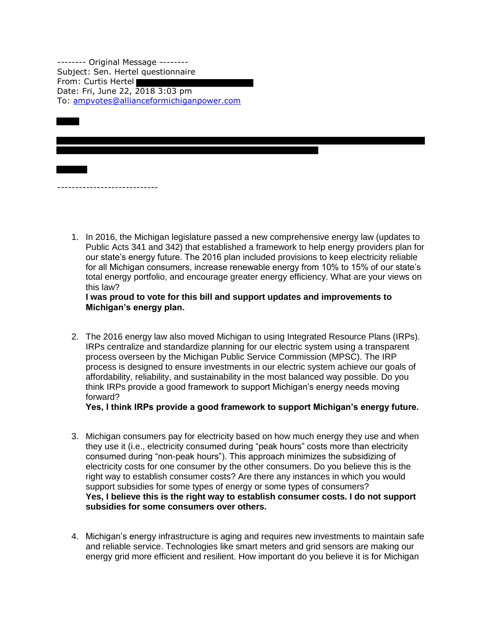-------- Original Message -------- Subject: Sen. Hertel questionnaire From: Curtis Hertel Date: Fri, June 22, 2018 3:03 pm To: [ampvotes@allianceformichiganpower.com](mailto:ampvotes@allianceformichiganpower.com)

----------------------------

1. In 2016, the Michigan legislature passed a new comprehensive energy law (updates to Public Acts 341 and 342) that established a framework to help energy providers plan for our state's energy future. The 2016 plan included provisions to keep electricity reliable for all Michigan consumers, increase renewable energy from 10% to 15% of our state's total energy portfolio, and encourage greater energy efficiency. What are your views on this law?

**I was proud to vote for this bill and support updates and improvements to Michigan's energy plan.**

2. The 2016 energy law also moved Michigan to using Integrated Resource Plans (IRPs). IRPs centralize and standardize planning for our electric system using a transparent process overseen by the Michigan Public Service Commission (MPSC). The IRP process is designed to ensure investments in our electric system achieve our goals of affordability, reliability, and sustainability in the most balanced way possible. Do you think IRPs provide a good framework to support Michigan's energy needs moving forward?

**Yes, I think IRPs provide a good framework to support Michigan's energy future.**

- 3. Michigan consumers pay for electricity based on how much energy they use and when they use it (i.e., electricity consumed during "peak hours" costs more than electricity consumed during "non-peak hours"). This approach minimizes the subsidizing of electricity costs for one consumer by the other consumers. Do you believe this is the right way to establish consumer costs? Are there any instances in which you would support subsidies for some types of energy or some types of consumers? **Yes, I believe this is the right way to establish consumer costs. I do not support subsidies for some consumers over others.**
- 4. Michigan's energy infrastructure is aging and requires new investments to maintain safe and reliable service. Technologies like smart meters and grid sensors are making our energy grid more efficient and resilient. How important do you believe it is for Michigan